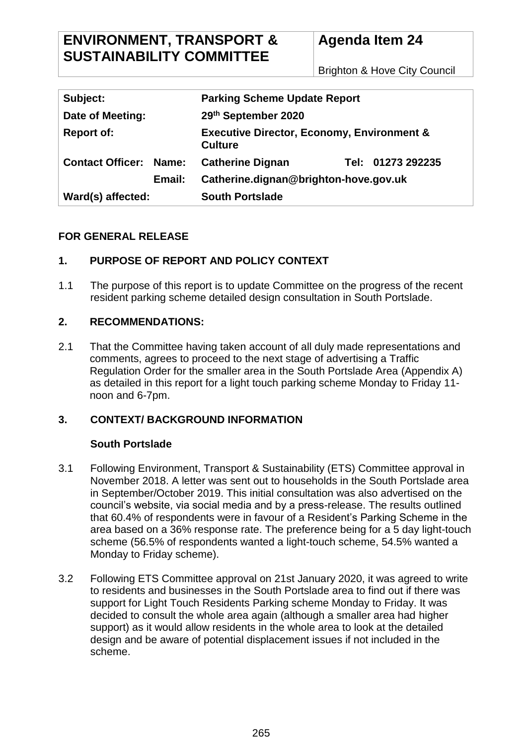Brighton & Hove City Council

| Subject:                      |        | <b>Parking Scheme Update Report</b>                                     |  |                   |
|-------------------------------|--------|-------------------------------------------------------------------------|--|-------------------|
| Date of Meeting:              |        | 29th September 2020                                                     |  |                   |
| <b>Report of:</b>             |        | <b>Executive Director, Economy, Environment &amp;</b><br><b>Culture</b> |  |                   |
| <b>Contact Officer: Name:</b> |        | <b>Catherine Dignan</b>                                                 |  | Tel: 01273 292235 |
|                               | Email: | Catherine.dignan@brighton-hove.gov.uk                                   |  |                   |
| Ward(s) affected:             |        | <b>South Portslade</b>                                                  |  |                   |

# **FOR GENERAL RELEASE**

# **1. PURPOSE OF REPORT AND POLICY CONTEXT**

1.1 The purpose of this report is to update Committee on the progress of the recent resident parking scheme detailed design consultation in South Portslade.

## **2. RECOMMENDATIONS:**

2.1 That the Committee having taken account of all duly made representations and comments, agrees to proceed to the next stage of advertising a Traffic Regulation Order for the smaller area in the South Portslade Area (Appendix A) as detailed in this report for a light touch parking scheme Monday to Friday 11 noon and 6-7pm.

## **3. CONTEXT/ BACKGROUND INFORMATION**

## **South Portslade**

- 3.1 Following Environment, Transport & Sustainability (ETS) Committee approval in November 2018. A letter was sent out to households in the South Portslade area in September/October 2019. This initial consultation was also advertised on the council's website, via social media and by a press-release. The results outlined that 60.4% of respondents were in favour of a Resident's Parking Scheme in the area based on a 36% response rate. The preference being for a 5 day light-touch scheme (56.5% of respondents wanted a light-touch scheme, 54.5% wanted a Monday to Friday scheme).
- 3.2 Following ETS Committee approval on 21st January 2020, it was agreed to write to residents and businesses in the South Portslade area to find out if there was support for Light Touch Residents Parking scheme Monday to Friday. It was decided to consult the whole area again (although a smaller area had higher support) as it would allow residents in the whole area to look at the detailed design and be aware of potential displacement issues if not included in the scheme.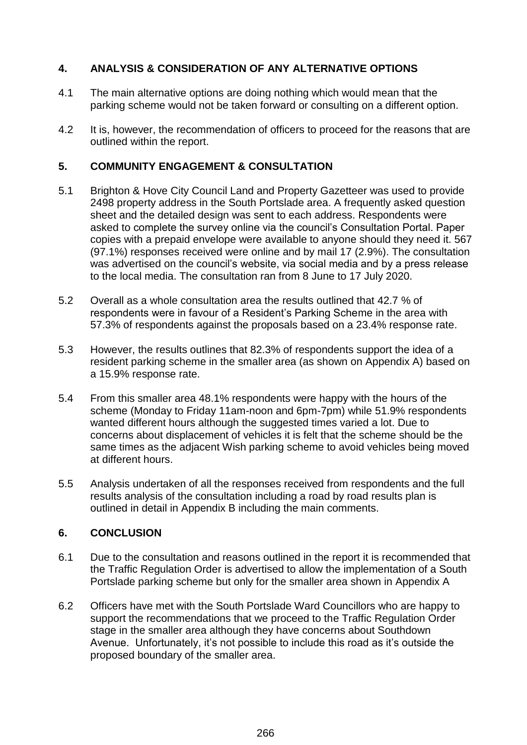## **4. ANALYSIS & CONSIDERATION OF ANY ALTERNATIVE OPTIONS**

- 4.1 The main alternative options are doing nothing which would mean that the parking scheme would not be taken forward or consulting on a different option.
- 4.2 It is, however, the recommendation of officers to proceed for the reasons that are outlined within the report.

#### **5. COMMUNITY ENGAGEMENT & CONSULTATION**

- 5.1 Brighton & Hove City Council Land and Property Gazetteer was used to provide 2498 property address in the South Portslade area. A frequently asked question sheet and the detailed design was sent to each address. Respondents were asked to complete the survey online via the council's Consultation Portal. Paper copies with a prepaid envelope were available to anyone should they need it. 567 (97.1%) responses received were online and by mail 17 (2.9%). The consultation was advertised on the council's website, via social media and by a press release to the local media. The consultation ran from 8 June to 17 July 2020.
- 5.2 Overall as a whole consultation area the results outlined that 42.7 % of respondents were in favour of a Resident's Parking Scheme in the area with 57.3% of respondents against the proposals based on a 23.4% response rate.
- 5.3 However, the results outlines that 82.3% of respondents support the idea of a resident parking scheme in the smaller area (as shown on Appendix A) based on a 15.9% response rate.
- 5.4 From this smaller area 48.1% respondents were happy with the hours of the scheme (Monday to Friday 11am-noon and 6pm-7pm) while 51.9% respondents wanted different hours although the suggested times varied a lot. Due to concerns about displacement of vehicles it is felt that the scheme should be the same times as the adjacent Wish parking scheme to avoid vehicles being moved at different hours.
- 5.5 Analysis undertaken of all the responses received from respondents and the full results analysis of the consultation including a road by road results plan is outlined in detail in Appendix B including the main comments.

## **6. CONCLUSION**

- 6.1 Due to the consultation and reasons outlined in the report it is recommended that the Traffic Regulation Order is advertised to allow the implementation of a South Portslade parking scheme but only for the smaller area shown in Appendix A
- 6.2 Officers have met with the South Portslade Ward Councillors who are happy to support the recommendations that we proceed to the Traffic Regulation Order stage in the smaller area although they have concerns about Southdown Avenue. Unfortunately, it's not possible to include this road as it's outside the proposed boundary of the smaller area.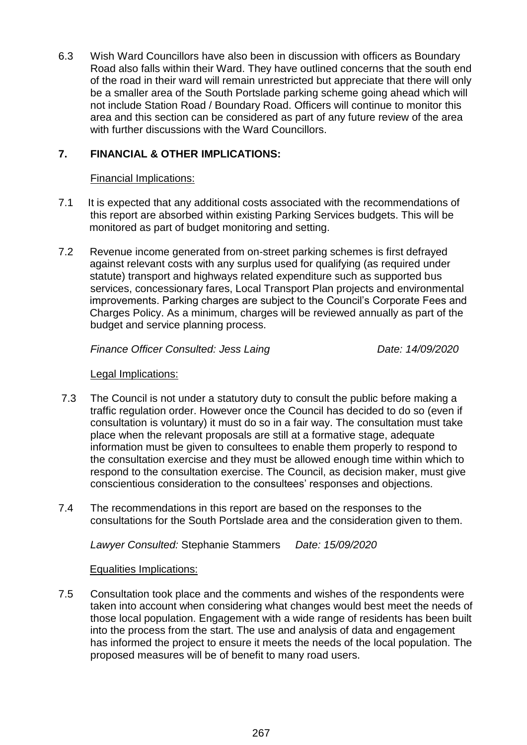6.3 Wish Ward Councillors have also been in discussion with officers as Boundary Road also falls within their Ward. They have outlined concerns that the south end of the road in their ward will remain unrestricted but appreciate that there will only be a smaller area of the South Portslade parking scheme going ahead which will not include Station Road / Boundary Road. Officers will continue to monitor this area and this section can be considered as part of any future review of the area with further discussions with the Ward Councillors.

## **7. FINANCIAL & OTHER IMPLICATIONS:**

### Financial Implications:

- 7.1 It is expected that any additional costs associated with the recommendations of this report are absorbed within existing Parking Services budgets. This will be monitored as part of budget monitoring and setting.
- 7.2 Revenue income generated from on-street parking schemes is first defrayed against relevant costs with any surplus used for qualifying (as required under statute) transport and highways related expenditure such as supported bus services, concessionary fares, Local Transport Plan projects and environmental improvements. Parking charges are subject to the Council's Corporate Fees and Charges Policy. As a minimum, charges will be reviewed annually as part of the budget and service planning process.

*Finance Officer Consulted: Jess Laing Date: 14/09/2020*

#### Legal Implications:

- 7.3 The Council is not under a statutory duty to consult the public before making a traffic regulation order. However once the Council has decided to do so (even if consultation is voluntary) it must do so in a fair way. The consultation must take place when the relevant proposals are still at a formative stage, adequate information must be given to consultees to enable them properly to respond to the consultation exercise and they must be allowed enough time within which to respond to the consultation exercise. The Council, as decision maker, must give conscientious consideration to the consultees' responses and objections.
- 7.4 The recommendations in this report are based on the responses to the consultations for the South Portslade area and the consideration given to them.

*Lawyer Consulted:* Stephanie Stammers *Date: 15/09/2020*

#### Equalities Implications:

7.5 Consultation took place and the comments and wishes of the respondents were taken into account when considering what changes would best meet the needs of those local population. Engagement with a wide range of residents has been built into the process from the start. The use and analysis of data and engagement has informed the project to ensure it meets the needs of the local population. The proposed measures will be of benefit to many road users.